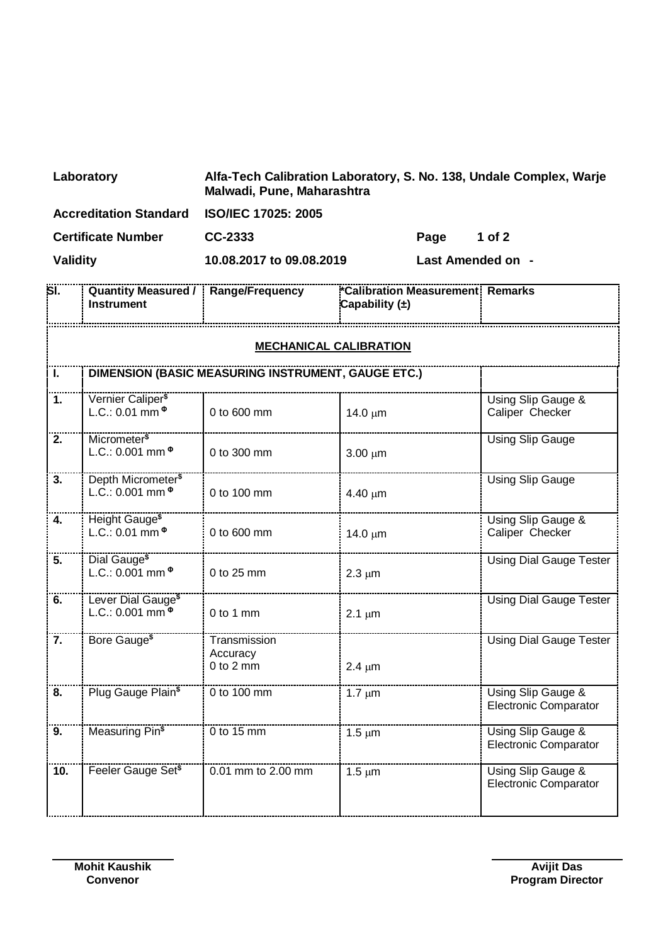| Laboratory                    | Alfa-Tech Calibration Laboratory, S. No. 138, Undale Complex, Warje<br>Malwadi, Pune, Maharashtra |                   |        |
|-------------------------------|---------------------------------------------------------------------------------------------------|-------------------|--------|
| <b>Accreditation Standard</b> | <b>ISO/IEC 17025: 2005</b>                                                                        |                   |        |
| <b>Certificate Number</b>     | CC-2333                                                                                           | Page              | 1 of 2 |
| Validity                      | 10.08.2017 to 09.08.2019                                                                          | Last Amended on - |        |

| SI.                           | <b>Quantity Measured /</b><br><b>Instrument</b>                        | Range/Frequency                           | *Calibration Measurement Remarks<br>Capability $(\pm)$ |                                                    |  |
|-------------------------------|------------------------------------------------------------------------|-------------------------------------------|--------------------------------------------------------|----------------------------------------------------|--|
| <b>MECHANICAL CALIBRATION</b> |                                                                        |                                           |                                                        |                                                    |  |
| Τ.                            | DIMENSION (BASIC MEASURING INSTRUMENT, GAUGE ETC.)                     |                                           |                                                        |                                                    |  |
| 1.                            | Vernier Caliper <sup>\$</sup><br>L.C.: 0.01 mm $^{\circ}$              | 0 to 600 mm                               | $14.0 \mu m$                                           | Using Slip Gauge &<br>Caliper Checker              |  |
| 2.                            | Micrometer <sup>\$</sup><br>$L.C.: 0.001 mm$ <sup><math>@</math></sup> | 0 to 300 mm                               | $3.00 \mu m$                                           | <b>Using Slip Gauge</b>                            |  |
| 3.                            | Depth Micrometer <sup>\$</sup><br>L.C.: 0.001 mm $^{\circ}$            | 0 to 100 mm                               | $4.40 \mu m$                                           | <b>Using Slip Gauge</b>                            |  |
| 4.                            | Height Gauge <sup>\$</sup><br>L.C.: 0.01 $\text{mm}^{\Phi}$            | 0 to 600 mm                               | 14.0 $\mu$ m                                           | Using Slip Gauge &<br>Caliper Checker              |  |
| 5.                            | Dial Gauge <sup>\$</sup><br>L.C.: 0.001 mm $\Phi$                      | 0 to 25 mm                                | $2.3 \mu m$                                            | <b>Using Dial Gauge Tester</b>                     |  |
| 6.                            | Lever Dial Gauge <sup>\$</sup><br>L.C.: 0.001 mm $\Phi$                | $0$ to 1 mm                               | $2.1 \mu m$                                            | <b>Using Dial Gauge Tester</b>                     |  |
| 7.                            | Bore Gauge <sup>\$</sup>                                               | Transmission<br>Accuracy<br>$0$ to $2$ mm | $2.4 \mu m$                                            | <b>Using Dial Gauge Tester</b>                     |  |
| 8.                            | Plug Gauge Plain <sup>\$</sup>                                         | 0 to 100 mm                               | $1.7 \mu m$                                            | Using Slip Gauge &<br><b>Electronic Comparator</b> |  |
| 9.                            | Measuring Pin <sup>\$</sup>                                            | $0$ to 15 mm                              | $1.5 \mu m$                                            | Using Slip Gauge &<br><b>Electronic Comparator</b> |  |
| 10.                           | Feeler Gauge Set <sup>\$</sup>                                         | 0.01 mm to 2.00 mm                        | $1.5 \mu m$                                            | Using Slip Gauge &<br><b>Electronic Comparator</b> |  |